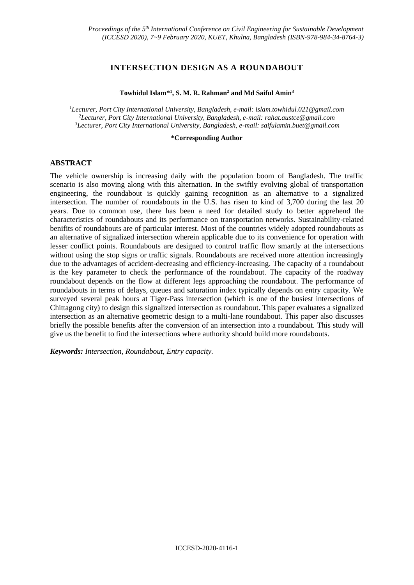# **INTERSECTION DESIGN AS A ROUNDABOUT**

#### **Towhidul Islam\*<sup>1</sup> , S. M. R. Rahman<sup>2</sup> and Md Saiful Amin<sup>3</sup>**

*<sup>1</sup>Lecturer, Port City International University, Bangladesh, e-mail: islam.towhidul.021@gmail.com <sup>2</sup>Lecturer, Port City International University, Bangladesh, e-mail: rahat.austce@gmail.com <sup>3</sup>Lecturer, Port City International University, Bangladesh, e-mail: saifulamin.buet@gmail.com*

#### **\*Corresponding Author**

### **ABSTRACT**

The vehicle ownership is increasing daily with the population boom of Bangladesh. The traffic scenario is also moving along with this alternation. In the swiftly evolving global of transportation engineering, the roundabout is quickly gaining recognition as an alternative to a signalized intersection. The number of roundabouts in the U.S. has risen to kind of 3,700 during the last 20 years. Due to common use, there has been a need for detailed study to better apprehend the characteristics of roundabouts and its performance on transportation networks. Sustainability-related benifits of roundabouts are of particular interest. Most of the countries widely adopted roundabouts as an alternative of signalized intersection wherein applicable due to its convenience for operation with lesser conflict points. Roundabouts are designed to control traffic flow smartly at the intersections without using the stop signs or traffic signals. Roundabouts are received more attention increasingly due to the advantages of accident-decreasing and efficiency-increasing. The capacity of a roundabout is the key parameter to check the performance of the roundabout. The capacity of the roadway roundabout depends on the flow at different legs approaching the roundabout. The performance of roundabouts in terms of delays, queues and saturation index typically depends on entry capacity. We surveyed several peak hours at Tiger-Pass intersection (which is one of the busiest intersections of Chittagong city) to design this signalized intersection as roundabout. This paper evaluates a signalized intersection as an alternative geometric design to a multi-lane roundabout. This paper also discusses briefly the possible benefits after the conversion of an intersection into a roundabout. This study will give us the benefit to find the intersections where authority should build more roundabouts.

*Keywords: Intersection, Roundabout, Entry capacity.*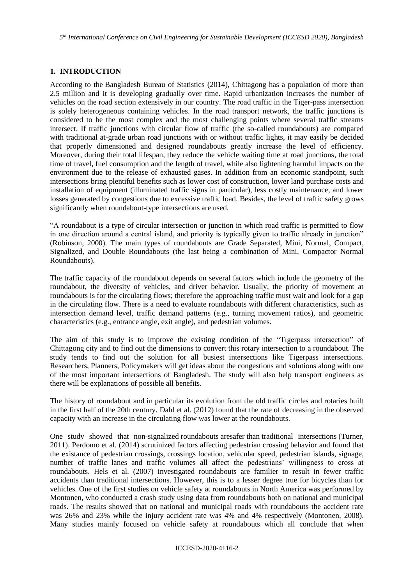*5 th International Conference on Civil Engineering for Sustainable Development (ICCESD 2020), Bangladesh*

# **1. INTRODUCTION**

According to the Bangladesh Bureau of Statistics (2014)*,* Chittagong has a population of more than 2.5 million and it is developing gradually over time. Rapid urbanization increases the number of vehicles on the road section extensively in our country. The road traffic in the Tiger-pass intersection is solely heterogeneous containing vehicles. In the road transport network, the traffic junctions is considered to be the most complex and the most challenging points where several traffic streams intersect. If traffic junctions with circular flow of traffic (the so-called roundabouts) are compared with traditional at-grade urban road junctions with or without traffic lights, it may easily be decided that properly dimensioned and designed roundabouts greatly increase the level of efficiency. Moreover, during their total lifespan, they reduce the vehicle waiting time at road junctions, the total time of travel, fuel consumption and the length of travel, while also lightening harmful impacts on the environment due to the release of exhausted gases. In addition from an economic standpoint, such intersections bring plentiful benefits such as lower cost of construction, lower land purchase costs and installation of equipment (illuminated traffic signs in particular), less costly maintenance, and lower losses generated by congestions due to excessive traffic load. Besides, the level of traffic safety grows significantly when roundabout-type intersections are used.

"A roundabout is a type of circular intersection or junction in which road traffic is permitted to flow in one direction around a central island, and priority is typically given to traffic already in junction" (Robinson, 2000). The main types of roundabouts are Grade Separated, Mini, Normal, Compact, Signalized, and Double Roundabouts (the last being a combination of Mini, Compactor Normal Roundabouts).

The traffic capacity of the roundabout depends on several factors which include the geometry of the roundabout, the diversity of vehicles, and driver behavior. Usually, the priority of movement at roundabouts is for the circulating flows; therefore the approaching traffic must wait and look for a gap in the circulating flow. There is a need to evaluate roundabouts with different characteristics, such as intersection demand level, traffic demand patterns (e.g., turning movement ratios), and geometric characteristics (e.g., entrance angle, exit angle), and pedestrian volumes.

The aim of this study is to improve the existing condition of the "Tigerpass intersection" of Chittagong city and to find out the dimensions to convert this rotary intersection to a roundabout. The study tends to find out the solution for all busiest intersections like Tigerpass intersections. Researchers, Planners, Policymakers will get ideas about the congestions and solutions along with one of the most important intersections of Bangladesh. The study will also help transport engineers as there will be explanations of possible all benefits.

The history of roundabout and in particular its evolution from the old traffic circles and rotaries built in the first half of the 20th century. Dahl et al. (2012) found that the rate of decreasing in the observed capacity with an increase in the circulating flow was lower at the roundabouts.

One study showed that non-signalized roundabouts aresafer than traditional intersections (Turner, 2011). Perdomo et al. (2014) scrutinized factors affecting pedestrian crossing behavior and found that the existance of pedestrian crossings, crossings location, vehicular speed, pedestrian islands, signage, number of traffic lanes and traffic volumes all affect the pedestrians' willingness to cross at roundabouts. Hels et al. (2007) investigated roundabouts are familier to result in fewer traffic accidents than traditional intersections. However, this is to a lesser degree true for bicycles than for vehicles. One of the first studies on vehicle safety at roundabouts in North America was performed by Montonen, who conducted a crash study using data from roundabouts both on national and municipal roads. The results showed that on national and municipal roads with roundabouts the accident rate was 26% and 23% while the injury accident rate was 4% and 4% respectively (Montonen, 2008). Many studies mainly focused on vehicle safety at roundabouts which all conclude that when

#### ICCESD-2020-4116-2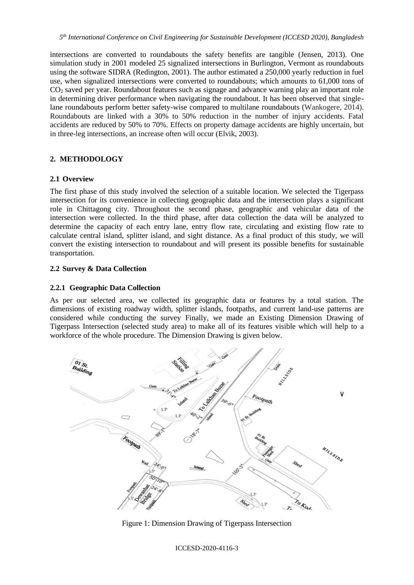intersections are converted to roundabouts the safety benefits are tangible (Jensen, 2013). One simulation study in 2001 modeled 25 signalized intersections in Burlington, Vermont as roundabouts using the software SIDRA (Redington, 2001). The author estimated a 250,000 yearly reduction in fuel use, when signalized intersections were converted to roundabouts; which amounts to 61,000 tons of CO<sub>2</sub> saved per year. Roundabout features such as signage and advance warning play an important role in determining driver performance when navigating the roundabout. It has been observed that singlelane roundabouts perform better safety-wise compared to multilane roundabouts (Wankogere, 2014). Roundabouts are linked with a 30% to 50% reduction in the number of injury accidents. Fatal accidents are reduced by 50% to 70%. Effects on property damage accidents are highly uncertain, but in three-leg intersections, an increase often will occur (Elvik, 2003).

# **2. METHODOLOGY**

### **2.1 Overview**

The first phase of this study involved the selection of a suitable location. We selected the Tigerpass intersection for its convenience in collecting geographic data and the intersection plays a significant role in Chittagong city. Throughout the second phase, geographic and vehicular data of the intersection were collected. In the third phase, after data collection the data will be analyzed to determine the capacity of each entry lane, entry flow rate, circulating and existing flow rate to calculate central island, splitter island, and sight distance. As a final product of this study, we will convert the existing intersection to roundabout and will present its possible benefits for sustainable transportation.

### **2.2 Survey & Data Collection**

### **2.2.1 Geographic Data Collection**

As per our selected area, we collected its geographic data or features by a total station. The dimensions of existing roadway width, splitter islands, footpaths, and current land-use patterns are considered while conducting the survey Finally, we made an Existing Dimension Drawing of Tigerpass Intersection (selected study area) to make all of its features visible which will help to a workforce of the whole procedure. The Dimension Drawing is given below.



Figure 1: Dimension Drawing of Tigerpass Intersection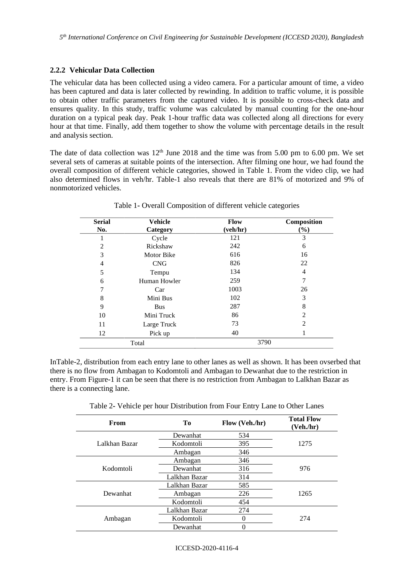## **2.2.2 Vehicular Data Collection**

The vehicular data has been collected using a video camera. For a particular amount of time, a video has been captured and data is later collected by rewinding. In addition to traffic volume, it is possible to obtain other traffic parameters from the captured video. It is possible to cross-check data and ensures quality. In this study, traffic volume was calculated by manual counting for the one-hour duration on a typical peak day. Peak 1-hour traffic data was collected along all directions for every hour at that time. Finally, add them together to show the volume with percentage details in the result and analysis section.

The date of data collection was  $12<sup>th</sup>$  June 2018 and the time was from 5.00 pm to 6.00 pm. We set several sets of cameras at suitable points of the intersection. After filming one hour, we had found the overall composition of different vehicle categories, showed in Table 1. From the video clip, we had also determined flows in veh/hr. Table-1 also reveals that there are 81% of motorized and 9% of nonmotorized vehicles.

| <b>Serial</b><br><b>Vehicle</b> |                   | <b>Flow</b> | Composition                   |
|---------------------------------|-------------------|-------------|-------------------------------|
| No.                             | Category          | (veh/hr)    | $(\%)$                        |
|                                 | Cycle             | 121         | 3                             |
| $\overline{2}$                  | Rickshaw          | 242         | 6                             |
| 3                               | <b>Motor Bike</b> | 616         | 16                            |
| $\overline{4}$                  | <b>CNG</b>        | 826         | 22                            |
| 5                               | Tempu             | 134         | 4                             |
| 6                               | Human Howler      | 259         |                               |
| $\tau$                          | Car               | 1003        | 26                            |
| 8                               | Mini Bus          | 102         | 3                             |
| 9                               | <b>Bus</b>        | 287         | 8                             |
| 10                              | Mini Truck        | 86          | $\mathfrak{D}_{\mathfrak{p}}$ |
| 11                              | Large Truck       | 73          | 2                             |
| 12                              | Pick up           | 40          |                               |
| Total                           |                   | 3790        |                               |

Table 1**-** Overall Composition of different vehicle categories

InTable-2, distribution from each entry lane to other lanes as well as shown. It has been ovserbed that there is no flow from Ambagan to Kodomtoli and Ambagan to Dewanhat due to the restriction in entry. From Figure-1 it can be seen that there is no restriction from Ambagan to Lalkhan Bazar as there is a connecting lane.

|  | Table 2- Vehicle per hour Distribution from Four Entry Lane to Other Lanes |  |  |
|--|----------------------------------------------------------------------------|--|--|
|  |                                                                            |  |  |

| From          | Tо            | Flow (Veh./hr) | <b>Total Flow</b><br>(Veh,hr) |
|---------------|---------------|----------------|-------------------------------|
|               | Dewanhat      | 534            |                               |
| Lalkhan Bazar | Kodomtoli     | 395            | 1275                          |
|               | Ambagan       | 346            |                               |
|               | Ambagan       | 346            |                               |
| Kodomtoli     | Dewanhat      | 316            | 976                           |
|               | Lalkhan Bazar | 314            |                               |
|               | Lalkhan Bazar | 585            |                               |
| Dewanhat      | Ambagan       | 226            | 1265                          |
|               | Kodomtoli     | 454            |                               |
|               | Lalkhan Bazar | 274            |                               |
| Ambagan       | Kodomtoli     | 0              | 274                           |
|               | Dewanhat      |                |                               |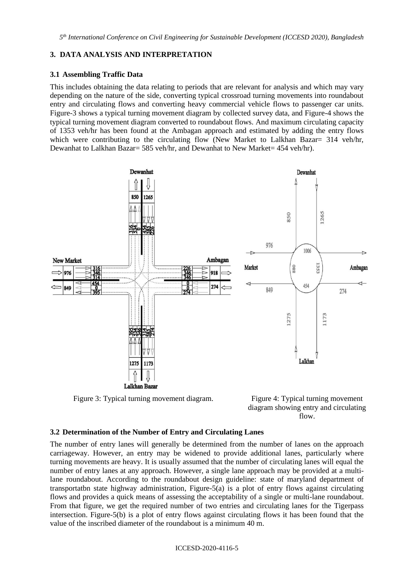# **3. DATA ANALYSIS AND INTERPRETATION**

## **3.1 Assembling Traffic Data**

This includes obtaining the data relating to periods that are relevant for analysis and which may vary depending on the nature of the side, converting typical crossroad turning movements into roundabout entry and circulating flows and converting heavy commercial vehicle flows to passenger car units. Figure-3 shows a typical turning movement diagram by collected survey data, and Figure-4 shows the typical turning movement diagram converted to roundabout flows. And maximum circulating capacity of 1353 veh/hr has been found at the Ambagan approach and estimated by adding the entry flows which were contributing to the circulating flow (New Market to Lalkhan Bazar= 314 veh/hr, Dewanhat to Lalkhan Bazar= 585 veh/hr, and Dewanhat to New Market= 454 veh/hr).



Figure 3: Typical turning movement diagram. Figure 4: Typical turning movement



# **3.2 Determination of the Number of Entry and Circulating Lanes**

The number of entry lanes will generally be determined from the number of lanes on the approach carriageway. However, an entry may be widened to provide additional lanes, particularly where turning movements are heavy. It is usually assumed that the number of circulating lanes will equal the number of entry lanes at any approach. However, a single lane approach may be provided at a multilane roundabout. According to the roundabout design guideline: state of maryland department of transportatbn state highway administration, Figure-5(a) is a plot of entry flows against circulating flows and provides a quick means of assessing the acceptability of a single or multi-lane roundabout. From that figure, we get the required number of two entries and circulating lanes for the Tigerpass intersection. Figure-5(b) is a plot of entry flows against circulating flows it has been found that the value of the inscribed diameter of the roundabout is a minimum 40 m.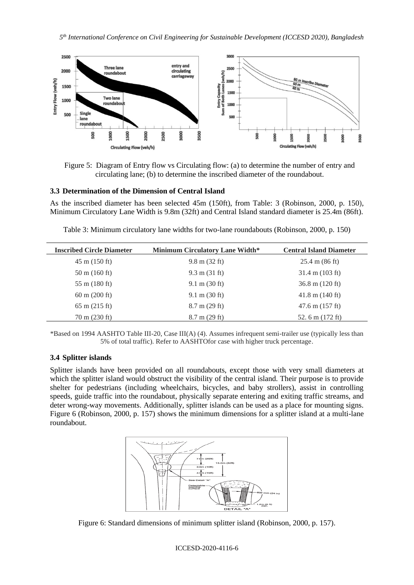

Figure 5: Diagram of Entry flow vs Circulating flow: (a) to determine the number of entry and circulating lane; (b) to determine the inscribed diameter of the roundabout.

### **3.3 Determination of the Dimension of Central Island**

As the inscribed diameter has been selected 45m (150ft), from Table: 3 (Robinson, 2000, p. 150), Minimum Circulatory Lane Width is 9.8m (32ft) and Central Island standard diameter is 25.4m (86ft).

| <b>Inscribed Circle Diameter</b> | <b>Minimum Circulatory Lane Width*</b> | <b>Central Island Diameter</b>   |
|----------------------------------|----------------------------------------|----------------------------------|
| $45 \text{ m}$ (150 ft)          | $9.8 \text{ m} (32 \text{ ft})$        | $25.4 \text{ m} (86 \text{ ft})$ |
| $50 \text{ m}$ (160 ft)          | $9.3 \text{ m} (31 \text{ ft})$        | $31.4 \text{ m}$ (103 ft)        |
| $55 \text{ m}$ (180 ft)          | $9.1 \text{ m} (30 \text{ ft})$        | $36.8 \text{ m}$ (120 ft)        |
| $60 \text{ m}$ (200 ft)          | $9.1 \text{ m} (30 \text{ ft})$        | $41.8 \text{ m}$ (140 ft)        |
| $65 \text{ m} (215 \text{ ft})$  | $8.7 \text{ m}$ (29 ft)                | $47.6 \text{ m}$ (157 ft)        |
| $70 \text{ m}$ (230 ft)          | $8.7 \text{ m}$ (29 ft)                | 52.6 m $(172 \text{ ft})$        |

Table 3: Minimum circulatory lane widths for two-lane roundabouts (Robinson, 2000, p. 150)

\*Based on 1994 AASHTO Table III-20, Case III(A) (4). Assumes infrequent semi-trailer use (typically less than 5% of total traffic). Refer to AASHTOfor case with higher truck percentage.

## **3.4 Splitter islands**

Splitter islands have been provided on all roundabouts, except those with very small diameters at which the splitter island would obstruct the visibility of the central island. Their purpose is to provide shelter for pedestrians (including wheelchairs, bicycles, and baby strollers), assist in controlling speeds, guide traffic into the roundabout, physically separate entering and exiting traffic streams, and deter wrong-way movements. Additionally, splitter islands can be used as a place for mounting signs. Figure 6 (Robinson, 2000, p. 157) shows the minimum dimensions for a splitter island at a multi-lane roundabout.



Figure 6: Standard dimensions of minimum splitter island (Robinson, 2000, p. 157).

#### ICCESD-2020-4116-6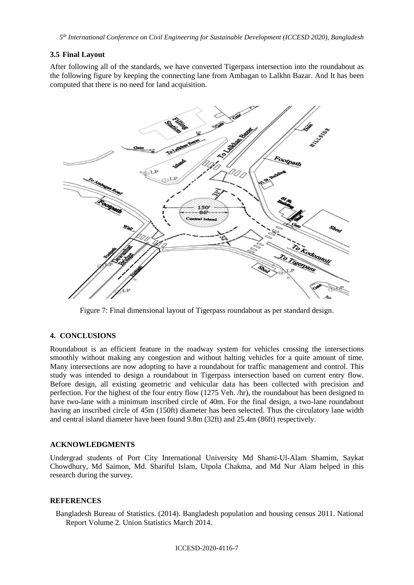### **3.5 Final Layout**

After following all of the standards, we have converted Tigerpass intersection into the roundabout as the following figure by keeping the connecting lane from Ambagan to Lalkhn Bazar. And It has been computed that there is no need for land acquisition.



Figure 7: Final dimensional layout of Tigerpass roundabout as per standard design.

#### **4. CONCLUSIONS**

Roundabout is an efficient feature in the roadway system for vehicles crossing the intersections smoothly without making any congestion and without halting vehicles for a quite amount of time. Many intersections are now adopting to have a roundabout for traffic management and control. This study was intended to design a roundabout in Tigerpass intersection based on current entry flow. Before design, all existing geometric and vehicular data has been collected with precision and perfection. For the highest of the four entry flow (1275 Veh. /hr), the roundabout has been designed to have two-lane with a minimum inscribed circle of 40m. For the final design, a two-lane roundabout having an inscribed circle of 45m (150ft) diameter has been selected. Thus the circulatory lane width and central island diameter have been found 9.8m (32ft) and 25.4m (86ft) respectively.

### **ACKNOWLEDGMENTS**

Undergrad students of Port City International University Md Shami-Ul-Alam Shamim, Saykat Chowdhury, Md Saimon, Md. Shariful Islam, Utpola Chakma, and Md Nur Alam helped in this research during the survey.

#### **REFERENCES**

Bangladesh Bureau of Statistics. (2014). Bangladesh population and housing census 2011. National Report Volume 2. Union Statistics March 2014.